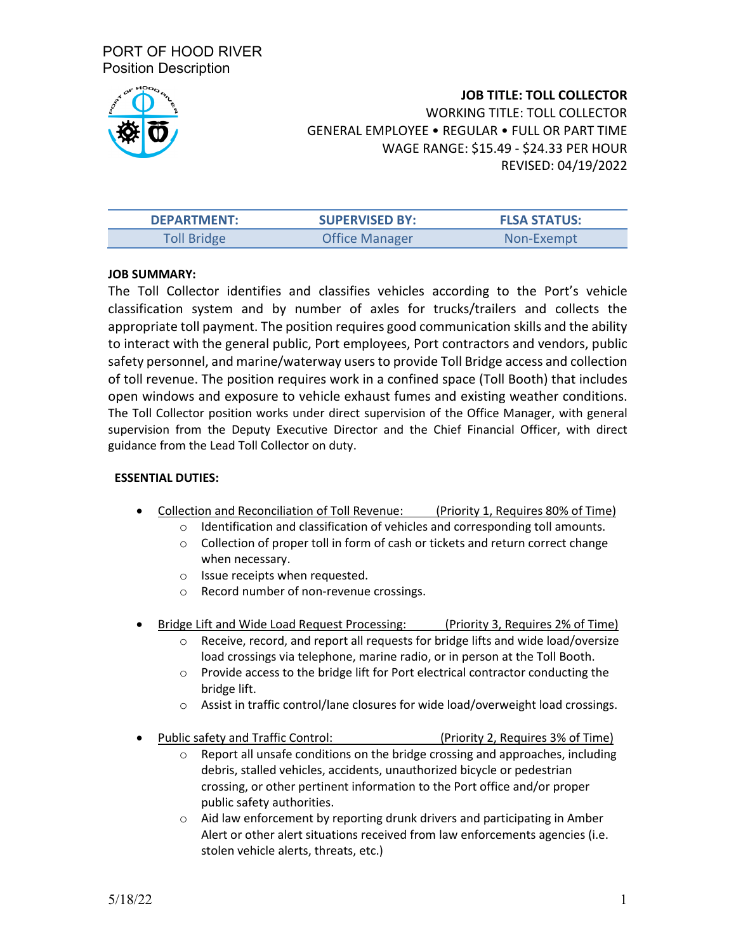PORT OF HOOD RIVER Position Description



**JOB TITLE: TOLL COLLECTOR** WORKING TITLE: TOLL COLLECTOR GENERAL EMPLOYEE • REGULAR • FULL OR PART TIME WAGE RANGE: \$15.49 - \$24.33 PER HOUR REVISED: 04/19/2022

| <b>DEPARTMENT:</b> | <b>SUPERVISED BY:</b> | <b>FLSA STATUS:</b> |
|--------------------|-----------------------|---------------------|
| Toll Bridge        | <b>Office Manager</b> | Non-Exempt          |

## **JOB SUMMARY:**

The Toll Collector identifies and classifies vehicles according to the Port's vehicle classification system and by number of axles for trucks/trailers and collects the appropriate toll payment. The position requires good communication skills and the ability to interact with the general public, Port employees, Port contractors and vendors, public safety personnel, and marine/waterway usersto provide Toll Bridge access and collection of toll revenue. The position requires work in a confined space (Toll Booth) that includes open windows and exposure to vehicle exhaust fumes and existing weather conditions. The Toll Collector position works under direct supervision of the Office Manager, with general supervision from the Deputy Executive Director and the Chief Financial Officer, with direct guidance from the Lead Toll Collector on duty.

## **ESSENTIAL DUTIES:**

- Collection and Reconciliation of Toll Revenue: (Priority 1, Requires 80% of Time)
	- o Identification and classification of vehicles and corresponding toll amounts.
	- o Collection of proper toll in form of cash or tickets and return correct change when necessary.
	- o Issue receipts when requested.
	- Record number of non-revenue crossings.
- Bridge Lift and Wide Load Request Processing: (Priority 3, Requires 2% of Time)
	- o Receive, record, and report all requests for bridge lifts and wide load/oversize load crossings via telephone, marine radio, or in person at the Toll Booth.
	- o Provide access to the bridge lift for Port electrical contractor conducting the bridge lift.
	- o Assist in traffic control/lane closures for wide load/overweight load crossings.
- Public safety and Traffic Control: (Priority 2, Requires 3% of Time)
	- $\circ$  Report all unsafe conditions on the bridge crossing and approaches, including debris, stalled vehicles, accidents, unauthorized bicycle or pedestrian crossing, or other pertinent information to the Port office and/or proper public safety authorities.
	- o Aid law enforcement by reporting drunk drivers and participating in Amber Alert or other alert situations received from law enforcements agencies (i.e. stolen vehicle alerts, threats, etc.)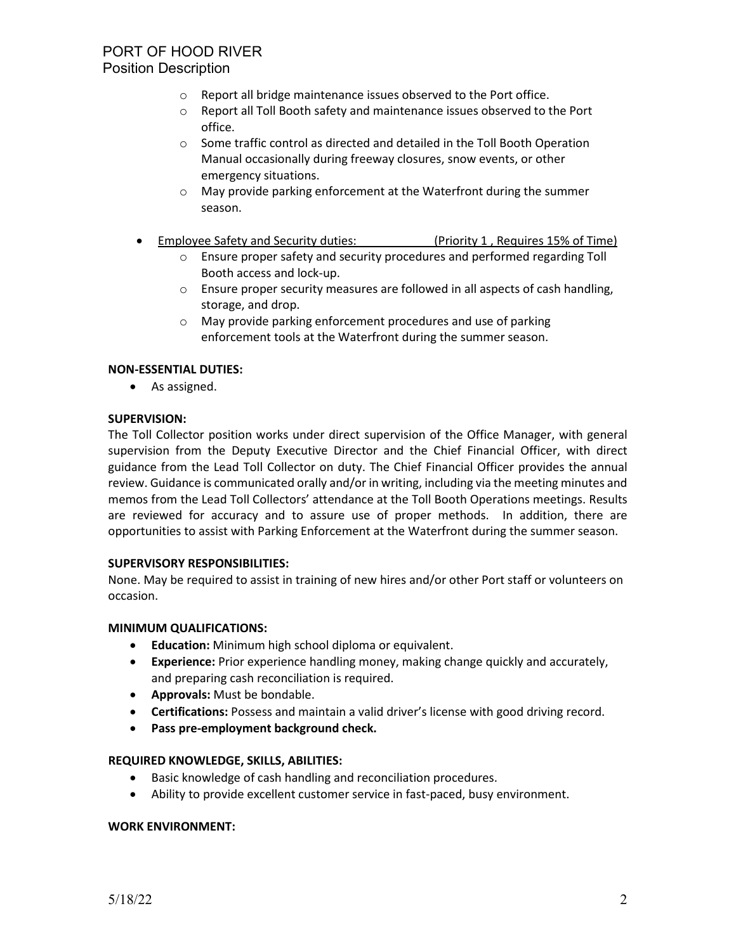- o Report all bridge maintenance issues observed to the Port office.
- o Report all Toll Booth safety and maintenance issues observed to the Port office.
- o Some traffic control as directed and detailed in the Toll Booth Operation Manual occasionally during freeway closures, snow events, or other emergency situations.
- o May provide parking enforcement at the Waterfront during the summer season.
- Employee Safety and Security duties: (Priority 1 , Requires 15% of Time)
	- o Ensure proper safety and security procedures and performed regarding Toll Booth access and lock-up.
	- o Ensure proper security measures are followed in all aspects of cash handling, storage, and drop.
	- o May provide parking enforcement procedures and use of parking enforcement tools at the Waterfront during the summer season.

## **NON-ESSENTIAL DUTIES:**

• As assigned.

## **SUPERVISION:**

The Toll Collector position works under direct supervision of the Office Manager, with general supervision from the Deputy Executive Director and the Chief Financial Officer, with direct guidance from the Lead Toll Collector on duty. The Chief Financial Officer provides the annual review. Guidance is communicated orally and/or in writing, including via the meeting minutes and memos from the Lead Toll Collectors' attendance at the Toll Booth Operations meetings. Results are reviewed for accuracy and to assure use of proper methods. In addition, there are opportunities to assist with Parking Enforcement at the Waterfront during the summer season.

## **SUPERVISORY RESPONSIBILITIES:**

None. May be required to assist in training of new hires and/or other Port staff or volunteers on occasion.

## **MINIMUM QUALIFICATIONS:**

- **Education:** Minimum high school diploma or equivalent.
- **Experience:** Prior experience handling money, making change quickly and accurately, and preparing cash reconciliation is required.
- **Approvals:** Must be bondable.
- **Certifications:** Possess and maintain a valid driver's license with good driving record.
- **Pass pre-employment background check.**

## **REQUIRED KNOWLEDGE, SKILLS, ABILITIES:**

- Basic knowledge of cash handling and reconciliation procedures.
- Ability to provide excellent customer service in fast-paced, busy environment.

## **WORK ENVIRONMENT:**